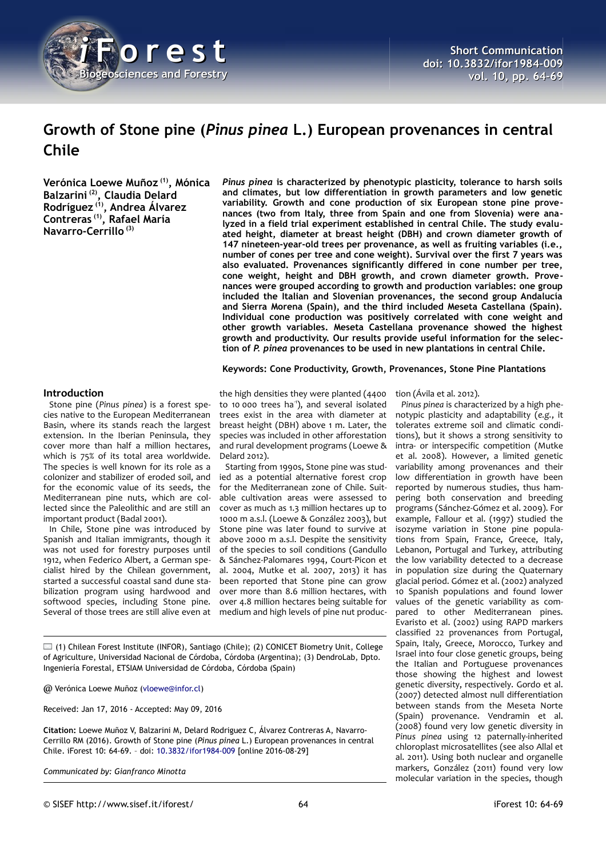

# **Growth of Stone pine (***Pinus pinea* **L.) European provenances in central Chile**

**Verónica Loewe Muñoz (1), Mónica Balzarini (2), Claudia Delard Rodríguez (1), Andrea Álvarez Contreras (1), Rafael María Navarro-Cerrillo (3)**

*Pinus pinea* **is characterized by phenotypic plasticity, tolerance to harsh soils and climates, but low differentiation in growth parameters and low genetic variability. Growth and cone production of six European stone pine provenances (two from Italy, three from Spain and one from Slovenia) were analyzed in a field trial experiment established in central Chile. The study evaluated height, diameter at breast height (DBH) and crown diameter growth of 147 nineteen-year-old trees per provenance, as well as fruiting variables (i.e., number of cones per tree and cone weight). Survival over the first 7 years was also evaluated. Provenances significantly differed in cone number per tree, cone weight, height and DBH growth, and crown diameter growth. Provenances were grouped according to growth and production variables: one group included the Italian and Slovenian provenances, the second group Andalucía and Sierra Morena (Spain), and the third included Meseta Castellana (Spain). Individual cone production was positively correlated with cone weight and other growth variables. Meseta Castellana provenance showed the highest growth and productivity. Our results provide useful information for the selection of** *P. pinea* **provenances to be used in new plantations in central Chile.**

**Keywords: Cone Productivity, Growth, Provenances, Stone Pine Plantations**

## **Introduction**

Stone pine (*Pinus pinea*) is a forest species native to the European Mediterranean Basin, where its stands reach the largest extension. In the Iberian Peninsula, they cover more than half a million hectares, which is 75% of its total area worldwide. The species is well known for its role as a colonizer and stabilizer of eroded soil, and for the economic value of its seeds, the Mediterranean pine nuts, which are collected since the Paleolithic and are still an important product (Badal 2001).

In Chile, Stone pine was introduced by Spanish and Italian immigrants, though it was not used for forestry purposes until 1912, when Federico Albert, a German specialist hired by the Chilean government, started a successful coastal sand dune stabilization program using hardwood and softwood species, including Stone pine. Several of those trees are still alive even at

the high densities they were planted (4400 to 10 000 trees ha<sup>-1</sup>), and several isolated trees exist in the area with diameter at breast height (DBH) above 1 m. Later, the species was included in other afforestation and rural development programs (Loewe & Delard 2012).

Starting from 1990s, Stone pine was studied as a potential alternative forest crop for the Mediterranean zone of Chile. Suitable cultivation areas were assessed to cover as much as 1.3 million hectares up to 1000 m a.s.l. (Loewe & González 2003), but Stone pine was later found to survive at above 2000 m a.s.l. Despite the sensitivity of the species to soil conditions (Gandullo & Sánchez-Palomares 1994, Court-Picon et al. 2004, Mutke et al. 2007, 2013) it has been reported that Stone pine can grow over more than 8.6 million hectares, with over 4.8 million hectares being suitable for medium and high levels of pine nut produc-

 $\Box$  (1) Chilean Forest Institute (INFOR), Santiago (Chile); (2) CONICET Biometry Unit, College of Agriculture, Universidad Nacional de Córdoba, Córdoba (Argentina); (3) DendroLab, Dpto. Ingeniería Forestal, ETSIAM Universidad de Córdoba, Córdoba (Spain)

@ Verónica Loewe Muñoz [\(vloewe@infor.cl\)](mailto:vloewe@infor.cl)

Received: Jan 17, 2016 - Accepted: May 09, 2016

**Citation:** Loewe Muñoz V, Balzarini M, Delard Rodriguez C, Álvarez Contreras A, Navarro-Cerrillo RM (2016). Growth of Stone pine (*Pinus pinea* L.) European provenances in central Chile. iForest 10: 64-69. – doi: [10.3832/ifor1984-009](http://www.sisef.it/iforest/contents/?id=ifor1984-009) [online 2016-08-29]

*Communicated by: Gianfranco Minotta*

tion (Ávila et al. 2012).

*Pinus pinea* is characterized by a high phenotypic plasticity and adaptability (*e.g.*, it tolerates extreme soil and climatic conditions), but it shows a strong sensitivity to intra- or interspecific competition (Mutke et al. 2008). However, a limited genetic variability among provenances and their low differentiation in growth have been reported by numerous studies, thus hampering both conservation and breeding programs (Sánchez-Gómez et al. 2009). For example, Fallour et al. (1997) studied the isozyme variation in Stone pine populations from Spain, France, Greece, Italy, Lebanon, Portugal and Turkey, attributing the low variability detected to a decrease in population size during the Quaternary glacial period. Gómez et al. (2002) analyzed 10 Spanish populations and found lower values of the genetic variability as compared to other Mediterranean pines. Evaristo et al. (2002) using RAPD markers classified 22 provenances from Portugal, Spain, Italy, Greece, Morocco, Turkey and Israel into four close genetic groups, being the Italian and Portuguese provenances those showing the highest and lowest genetic diversity, respectively. Gordo et al. (2007) detected almost null differentiation between stands from the Meseta Norte (Spain) provenance. Vendramin et al. (2008) found very low genetic diversity in *Pinus pinea* using 12 paternally-inherited chloroplast microsatellites (see also Allal et al. 2011). Using both nuclear and organelle markers, González (2011) found very low molecular variation in the species, though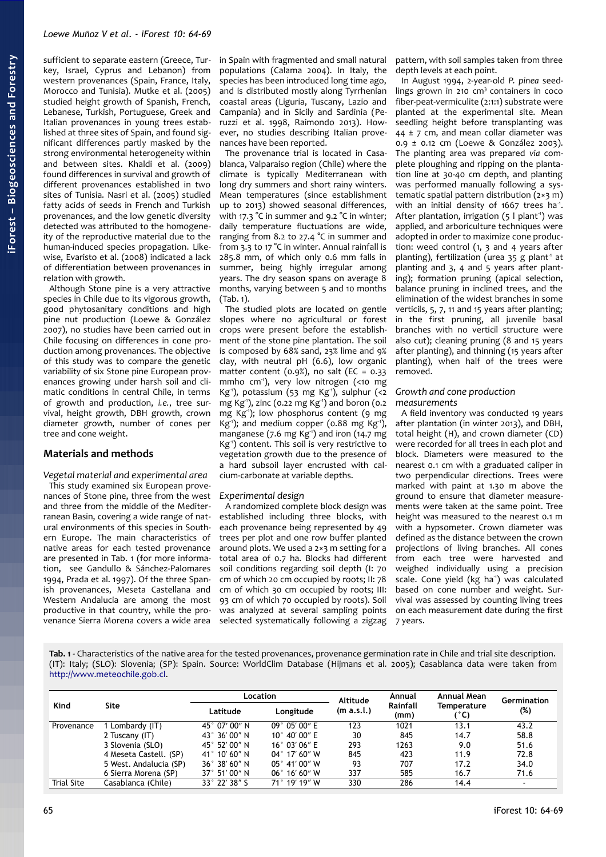sufficient to separate eastern (Greece, Turkey, Israel, Cyprus and Lebanon) from western provenances (Spain, France, Italy, Morocco and Tunisia). Mutke et al. (2005) studied height growth of Spanish, French, Lebanese, Turkish, Portuguese, Greek and Italian provenances in young trees established at three sites of Spain, and found significant differences partly masked by the strong environmental heterogeneity within and between sites. Khaldi et al. (2009) found differences in survival and growth of different provenances established in two sites of Tunisia. Nasri et al. (2005) studied fatty acids of seeds in French and Turkish provenances, and the low genetic diversity detected was attributed to the homogeneity of the reproductive material due to the human-induced species propagation. Likewise, Evaristo et al. (2008) indicated a lack of differentiation between provenances in relation with growth.

Although Stone pine is a very attractive species in Chile due to its vigorous growth, good phytosanitary conditions and high pine nut production (Loewe & González 2007), no studies have been carried out in Chile focusing on differences in cone production among provenances. The objective of this study was to compare the genetic variability of six Stone pine European provenances growing under harsh soil and climatic conditions in central Chile, in terms of growth and production, *i.e.*, tree survival, height growth, DBH growth, crown diameter growth, number of cones per tree and cone weight.

# **Materials and methods**

*Vegetal material and experimental area* This study examined six European provenances of Stone pine, three from the west and three from the middle of the Mediterranean Basin, covering a wide range of natural environments of this species in Southern Europe. The main characteristics of native areas for each tested provenance are presented in [Tab. 1](#page-1-0) (for more information, see Gandullo & Sánchez-Palomares 1994, Prada et al. 1997). Of the three Spanish provenances, Meseta Castellana and Western Andalucia are among the most productive in that country, while the provenance Sierra Morena covers a wide area

in Spain with fragmented and small natural populations (Calama 2004). In Italy, the species has been introduced long time ago, and is distributed mostly along Tyrrhenian coastal areas (Liguria, Tuscany, Lazio and Campania) and in Sicily and Sardinia (Peruzzi et al. 1998, Raimondo 2013). However, no studies describing Italian provenances have been reported.

The provenance trial is located in Casablanca, Valparaiso region (Chile) where the climate is typically Mediterranean with long dry summers and short rainy winters. Mean temperatures (since establishment up to 2013) showed seasonal differences, with 17.3 °C in summer and 9.2 °C in winter; daily temperature fluctuations are wide, ranging from 8.2 to 27.4 °C in summer and from 3.3 to 17 °C in winter. Annual rainfall is 285.8 mm, of which only 0.6 mm falls in summer, being highly irregular among years. The dry season spans on average 8 months, varying between 5 and 10 months [\(Tab. 1\)](#page-1-0).

The studied plots are located on gentle slopes where no agricultural or forest crops were present before the establishment of the stone pine plantation. The soil is composed by 68% sand, 23% lime and 9% clay, with neutral pH (6.6), low organic matter content (0.9%), no salt (EC =  $0.33$ mmho cm-1), very low nitrogen (<10 mg Kg<sup>1</sup>), potassium (53 mg Kg<sup>1</sup>), sulphur (<2 mg Kg-1), zinc (0.22 mg Kg-1) and boron (0.2 mg Kg-1); low phosphorus content (9 mg Kg<sup>-1</sup>); and medium copper (0.88 mg Kg<sup>-1</sup>), manganese (7.6 mg  $Kg^{-1}$ ) and iron (14.7 mg Kg-1) content. This soil is very restrictive to vegetation growth due to the presence of a hard subsoil layer encrusted with calcium-carbonate at variable depths.

#### *Experimental design*

A randomized complete block design was established including three blocks, with each provenance being represented by 49 trees per plot and one row buffer planted around plots. We used a 2×3 m setting for a total area of 0.7 ha. Blocks had different soil conditions regarding soil depth (I: 70 cm of which 20 cm occupied by roots; II: 78 cm of which 30 cm occupied by roots; III: 93 cm of which 70 occupied by roots). Soil was analyzed at several sampling points selected systematically following a zigzag pattern, with soil samples taken from three depth levels at each point.

In August 1994, 2-year-old *P. pinea* seedlings grown in 210  $cm<sup>3</sup>$  containers in coco fiber-peat-vermiculite (2:1:1) substrate were planted at the experimental site. Mean seedling height before transplanting was  $44 \pm 7$  cm, and mean collar diameter was 0.9 ± 0.12 cm (Loewe & González 2003). The planting area was prepared *via* complete ploughing and ripping on the plantation line at 30-40 cm depth, and planting was performed manually following a systematic spatial pattern distribution (2×3 m) with an initial density of 1667 trees ha<sup>1</sup>. After plantation, irrigation  $(5 \mid plant')$  was applied, and arboriculture techniques were adopted in order to maximize cone production: weed control (1, 3 and 4 years after planting), fertilization (urea  $35$  g plant<sup>-1</sup> at planting and 3, 4 and 5 years after planting); formation pruning (apical selection, balance pruning in inclined trees, and the elimination of the widest branches in some verticils, 5, 7, 11 and 15 years after planting; in the first pruning, all juvenile basal branches with no verticil structure were also cut); cleaning pruning (8 and 15 years after planting), and thinning (15 years after planting), when half of the trees were removed.

## *Growth and cone production measurements*

A field inventory was conducted 19 years after plantation (in winter 2013), and DBH, total height (H), and crown diameter (CD) were recorded for all trees in each plot and block. Diameters were measured to the nearest 0.1 cm with a graduated caliper in two perpendicular directions. Trees were marked with paint at 1.30 m above the ground to ensure that diameter measurements were taken at the same point. Tree height was measured to the nearest 0.1 m with a hypsometer. Crown diameter was defined as the distance between the crown projections of living branches. All cones from each tree were harvested and weighed individually using a precision scale. Cone yield (kg ha<sup>1</sup>) was calculated based on cone number and weight. Survival was assessed by counting living trees on each measurement date during the first 7 years.

<span id="page-1-0"></span>**Tab. 1** - Characteristics of the native area for the tested provenances, provenance germination rate in Chile and trial site description. (IT): Italy; (SLO): Slovenia; (SP): Spain. Source: WorldClim Database (Hijmans et al. 2005); Casablanca data were taken from [http://www.meteochile.gob.cl.](http://www.meteochile.gob.cl/)

| Kind              | Site                   | <b>Location</b>        |                         | <b>Altitude</b> | Annual           | Annual Mean                | Germination |
|-------------------|------------------------|------------------------|-------------------------|-----------------|------------------|----------------------------|-------------|
|                   |                        | Latitude               | Longitude               | (m a.s.l.)      | Rainfall<br>(mm) | <b>Temperature</b><br>(°C) | (%)         |
| Provenance        | Lombardy (IT)          | 45° 07′ 00″ N          | $09^{\circ} 05' 00'' E$ | 123             | 1021             | 13.1                       | 43.2        |
|                   | 2 Tuscany (IT)         | 43° 36′ 00″ N          | $10^{\circ}$ 40' 00" E  | 30              | 845              | 14.7                       | 58.8        |
|                   | 3 Slovenia (SLO)       | 45° 52′ 00″ N          | $16^{\circ}$ 03' 06" E  | 293             | 1263             | 9.0                        | 51.6        |
|                   | 4 Meseta Castell. (SP) | 41° 10′ 60″ N          | $04^{\circ}$ 17' 60" W  | 845             | 423              | 11.9                       | 72.8        |
|                   | 5 West. Andalucia (SP) | $36^\circ$ 38' 60" N   | $05^{\circ}$ 41' 00" W  | 93              | 707              | 17.2                       | 34.0        |
|                   | 6 Sierra Morena (SP)   | $37^{\circ}$ 51' 00" N | $06^{\circ}$ 16' 60" W  | 337             | 585              | 16.7                       | 71.6        |
| <b>Trial Site</b> | Casablanca (Chile)     | 33° 22' 38" S          | 71° 19' 19" W           | 330             | 286              | 14.4                       | $\sim$      |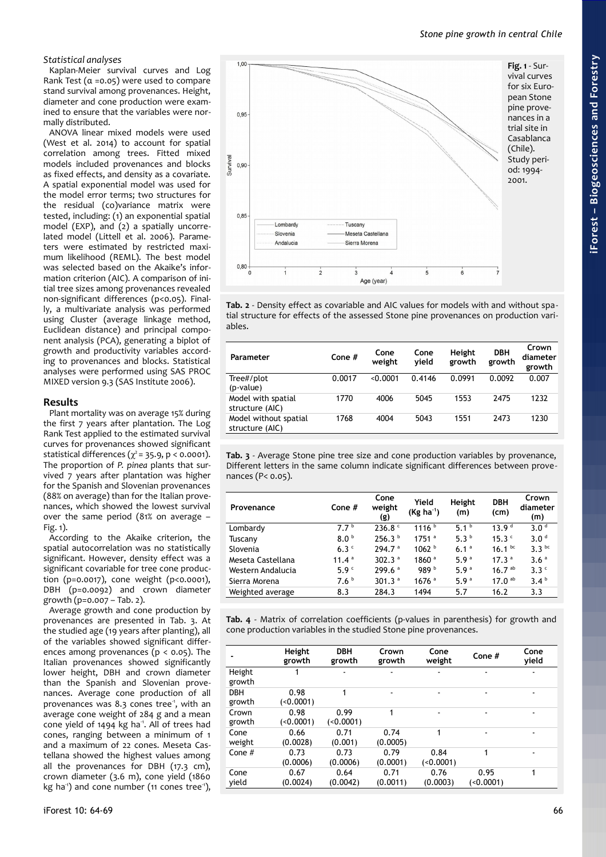## *Statistical analyses*

Kaplan-Meier survival curves and Log Rank Test  $(a = 0.05)$  were used to compare stand survival among provenances. Height, diameter and cone production were examined to ensure that the variables were normally distributed.

ANOVA linear mixed models were used (West et al. 2014) to account for spatial correlation among trees. Fitted mixed models included provenances and blocks as fixed effects, and density as a covariate. A spatial exponential model was used for the model error terms; two structures for the residual (co)variance matrix were tested, including: (1) an exponential spatial model (EXP), and (2) a spatially uncorrelated model (Littell et al. 2006). Parameters were estimated by restricted maximum likelihood (REML). The best model was selected based on the Akaike's information criterion (AIC). A comparison of initial tree sizes among provenances revealed non-significant differences (p<0.05). Finally, a multivariate analysis was performed using Cluster (average linkage method, Euclidean distance) and principal component analysis (PCA), generating a biplot of growth and productivity variables according to provenances and blocks. Statistical analyses were performed using SAS PROC MIXED version 9.3 (SAS Institute 2006).

# **Results**

Plant mortality was on average 15% during the first 7 years after plantation. The Log Rank Test applied to the estimated survival curves for provenances showed significant statistical differences ( $\chi^2$  = 35.9, p < 0.0001). The proportion of *P. pinea* plants that survived 7 years after plantation was higher for the Spanish and Slovenian provenances (88% on average) than for the Italian provenances, which showed the lowest survival over the same period (81% on average – [Fig. 1\)](#page-2-2).

According to the Akaike criterion, the spatial autocorrelation was no statistically significant. However, density effect was a significant covariable for tree cone production (p=0.0017), cone weight (p<0.0001), DBH (p=0.0092) and crown diameter growth (p=0.007 – [Tab. 2\)](#page-2-1).

Average growth and cone production by provenances are presented in [Tab. 3.](#page-2-0) At the studied age (19 years after planting), all of the variables showed significant differences among provenances ( $p < 0.05$ ). The Italian provenances showed significantly lower height, DBH and crown diameter than the Spanish and Slovenian provenances. Average cone production of all provenances was  $8.3$  cones tree<sup>-1</sup>, with an average cone weight of 284 g and a mean cone yield of 1494 kg ha<sup>1</sup>. All of trees had cones, ranging between a minimum of 1 and a maximum of 22 cones. Meseta Castellana showed the highest values among all the provenances for DBH (17.3 cm), crown diameter (3.6 m), cone yield (1860 kg ha<sup>-1</sup>) and cone number (11 cones tree<sup>-1</sup>),



<span id="page-2-2"></span>vival curves for six European Stone pine provenances in a Casablanca

<span id="page-2-1"></span>**Tab. 2** - Density effect as covariable and AIC values for models with and without spatial structure for effects of the assessed Stone pine provenances on production variables.

| Parameter                                | Cone $#$ | Cone<br>weight | Cone<br>vield | Height<br>growth | <b>DBH</b><br>growth | Crown<br>diameter<br>growth |
|------------------------------------------|----------|----------------|---------------|------------------|----------------------|-----------------------------|
| Tree#/plot<br>(p-value)                  | 0.0017   | < 0.0001       | 0.4146        | 0.0991           | 0.0092               | 0.007                       |
| Model with spatial<br>structure (AIC)    | 1770     | 4006           | 5045          | 1553             | 2475                 | 1232                        |
| Model without spatial<br>structure (AIC) | 1768     | 4004           | 5043          | 1551             | 2473                 | 1230                        |

<span id="page-2-0"></span>**Tab. 3** - Average Stone pine tree size and cone production variables by provenance, Different letters in the same column indicate significant differences between provenances (P< 0.05).

| Provenance        | Cone $#$         | Cone<br>weight<br>(g) | Yield<br>$(Kg ha^{-1})$ | Height<br>(m)    | <b>DBH</b><br>(cm) | Crown<br>diameter<br>(m) |
|-------------------|------------------|-----------------------|-------------------------|------------------|--------------------|--------------------------|
| Lombardy          | 7.7 <sup>b</sup> | $236.8$ $\degree$     | 1116 <sup>b</sup>       | 5.1 <sup>b</sup> | 13.9 <sup>d</sup>  | 3.0 <sup>d</sup>         |
| Tuscany           | 8.0 <sup>b</sup> | 256.3 <sup>b</sup>    | $1751$ <sup>a</sup>     | 5.3 $b$          | 15.3 $c$           | 3.0 <sup>d</sup>         |
| Slovenia          | 6.3 <sup>c</sup> | 294.7 <sup>a</sup>    | 1062 <sup>b</sup>       | 6.1 <sup>a</sup> | $16.1^{bc}$        | 3.3 <sup>bc</sup>        |
| Meseta Castellana | 11.4 $a$         | 302.3 $a$             | 1860 <sup>a</sup>       | 5.9 $a$          | 17.3 <sup>a</sup>  | 3.6 <sup>a</sup>         |
| Western Andalucia | 5.9 <sup>c</sup> | 299.6 <sup>a</sup>    | 989 <sup>b</sup>        | 5.9 <sup>a</sup> | $16.7^{ab}$        | 3.3 <sup>c</sup>         |
| Sierra Morena     | 7.6 <sup>b</sup> | 301.3 $a$             | $1676$ <sup>a</sup>     | 5.9 $a$          | 17.0 <sup>ab</sup> | 3.4 <sup>b</sup>         |
| Weighted average  | 8.3              | 284.3                 | 1494                    | 5.7              | 16.2               | 3.3                      |

<span id="page-2-3"></span>**Tab. 4** - Matrix of correlation coefficients (p-values in parenthesis) for growth and cone production variables in the studied Stone pine provenances.

|                      | Height<br>growth | <b>DBH</b><br>growth | Crown<br>growth  | Cone<br>weight   | Cone $#$         | Cone<br>yield |
|----------------------|------------------|----------------------|------------------|------------------|------------------|---------------|
| Height<br>growth     |                  |                      |                  |                  |                  |               |
| <b>DBH</b><br>growth | 0.98<br>(0.0001) | 1                    |                  |                  |                  |               |
| Crown<br>growth      | 0.98<br>(0.0001) | 0.99<br>(0.0001)     | 1                |                  | $\blacksquare$   |               |
| Cone<br>weight       | 0.66<br>(0.0028) | 0.71<br>(0.001)      | 0.74<br>(0.0005) | 1                | $\blacksquare$   | ۰             |
| Cone $#$             | 0.73<br>(0.0006) | 0.73<br>(0.0006)     | 0.79<br>(0.0001) | 0.84<br>(0.0001) | 1                | ۰             |
| Cone<br>yield        | 0.67<br>(0.0024) | 0.64<br>(0.0042)     | 0.71<br>(0.0011) | 0.76<br>(0.0003) | 0.95<br>(0.0001) | 1             |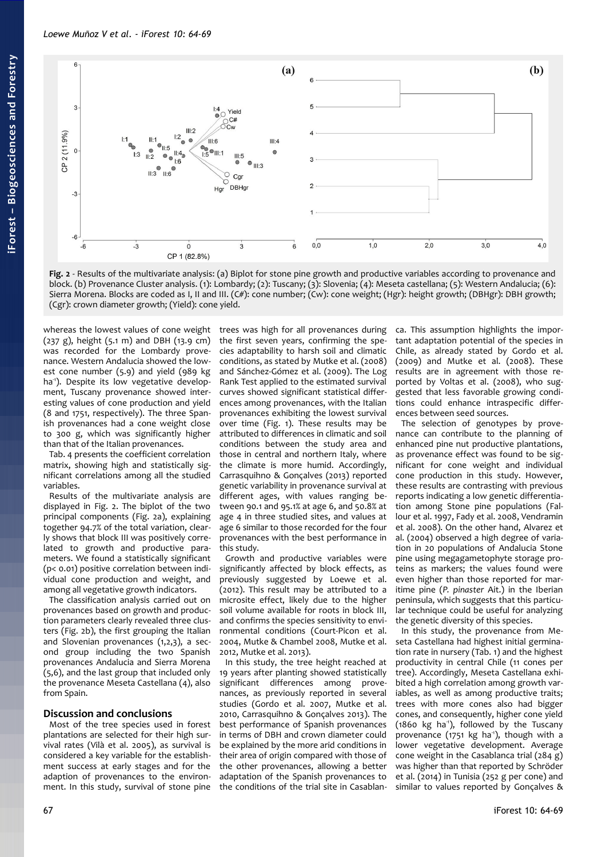

<span id="page-3-0"></span>**Fig. 2** - Results of the multivariate analysis: (a) Biplot for stone pine growth and productive variables according to provenance and block. (b) Provenance Cluster analysis. (1): Lombardy; (2): Tuscany; (3): Slovenia; (4): Meseta castellana; (5): Western Andalucia; (6): Sierra Morena. Blocks are coded as I, II and III. (C#): cone number; (Cw): cone weight; (Hgr): height growth; (DBHgr): DBH growth; (Cgr): crown diameter growth; (Yield): cone yield.

whereas the lowest values of cone weight (237 g), height (5.1 m) and DBH (13.9 cm) was recorded for the Lombardy provenance. Western Andalucia showed the lowest cone number (5.9) and yield (989 kg ha<sup>1</sup>). Despite its low vegetative development, Tuscany provenance showed interesting values of cone production and yield (8 and 1751, respectively). The three Spanish provenances had a cone weight close to 300 g, which was significantly higher than that of the Italian provenances.

[Tab. 4](#page-2-3) presents the coefficient correlation matrix, showing high and statistically significant correlations among all the studied variables.

Results of the multivariate analysis are displayed in [Fig. 2.](#page-3-0) The biplot of the two principal components [\(Fig. 2a](#page-3-0)), explaining together 94.7% of the total variation, clearly shows that block III was positively correlated to growth and productive parameters. We found a statistically significant (p< 0.01) positive correlation between individual cone production and weight, and among all vegetative growth indicators.

The classification analysis carried out on provenances based on growth and production parameters clearly revealed three clusters [\(Fig. 2b](#page-3-0)), the first grouping the Italian and Slovenian provenances (1,2,3), a second group including the two Spanish provenances Andalucia and Sierra Morena (5,6), and the last group that included only the provenance Meseta Castellana (4), also from Spain.

### **Discussion and conclusions**

Most of the tree species used in forest plantations are selected for their high survival rates (Vilà et al. 2005), as survival is considered a key variable for the establishment success at early stages and for the adaption of provenances to the environment. In this study, survival of stone pine trees was high for all provenances during the first seven years, confirming the species adaptability to harsh soil and climatic conditions, as stated by Mutke et al. (2008) and Sánchez-Gómez et al. (2009). The Log Rank Test applied to the estimated survival curves showed significant statistical differences among provenances, with the Italian provenances exhibiting the lowest survival over time [\(Fig. 1\)](#page-2-2). These results may be attributed to differences in climatic and soil conditions between the study area and those in central and northern Italy, where the climate is more humid. Accordingly, Carrasquihno & Gonçalves (2013) reported genetic variability in provenance survival at different ages, with values ranging between 90.1 and 95.1% at age 6, and 50.8% at age 4 in three studied sites, and values at age 6 similar to those recorded for the four provenances with the best performance in this study.

Growth and productive variables were significantly affected by block effects, as previously suggested by Loewe et al. (2012). This result may be attributed to a microsite effect, likely due to the higher soil volume available for roots in block III, and confirms the species sensitivity to environmental conditions (Court-Picon et al. 2004, Mutke & Chambel 2008, Mutke et al. 2012, Mutke et al. 2013).

In this study, the tree height reached at 19 years after planting showed statistically significant differences among provenances, as previously reported in several studies (Gordo et al. 2007, Mutke et al. 2010, Carrasquihno & Gonçalves 2013). The best performance of Spanish provenances in terms of DBH and crown diameter could be explained by the more arid conditions in their area of origin compared with those of the other provenances, allowing a better adaptation of the Spanish provenances to the conditions of the trial site in Casablanca. This assumption highlights the important adaptation potential of the species in Chile, as already stated by Gordo et al. (2009) and Mutke et al. (2008). These results are in agreement with those reported by Voltas et al. (2008), who suggested that less favorable growing conditions could enhance intraspecific differences between seed sources.

The selection of genotypes by provenance can contribute to the planning of enhanced pine nut productive plantations, as provenance effect was found to be significant for cone weight and individual cone production in this study. However, these results are contrasting with previous reports indicating a low genetic differentiation among Stone pine populations (Fallour et al. 1997, Fady et al. 2008, Vendramin et al. 2008). On the other hand, Alvarez et al. (2004) observed a high degree of variation in 20 populations of Andalucia Stone pine using megagametophyte storage proteins as markers; the values found were even higher than those reported for maritime pine (*P. pinaster* Ait.) in the Iberian peninsula, which suggests that this particular technique could be useful for analyzing the genetic diversity of this species.

In this study, the provenance from Meseta Castellana had highest initial germination rate in nursery [\(Tab. 1\)](#page-1-0) and the highest productivity in central Chile (11 cones per tree). Accordingly, Meseta Castellana exhibited a high correlation among growth variables, as well as among productive traits; trees with more cones also had bigger cones, and consequently, higher cone yield (1860 kg ha<sup>-1</sup>), followed by the Tuscany provenance (1751 kg ha<sup>-1</sup>), though with a lower vegetative development. Average cone weight in the Casablanca trial (284 g) was higher than that reported by Schröder et al. (2014) in Tunisia (252 g per cone) and similar to values reported by Gonçalves &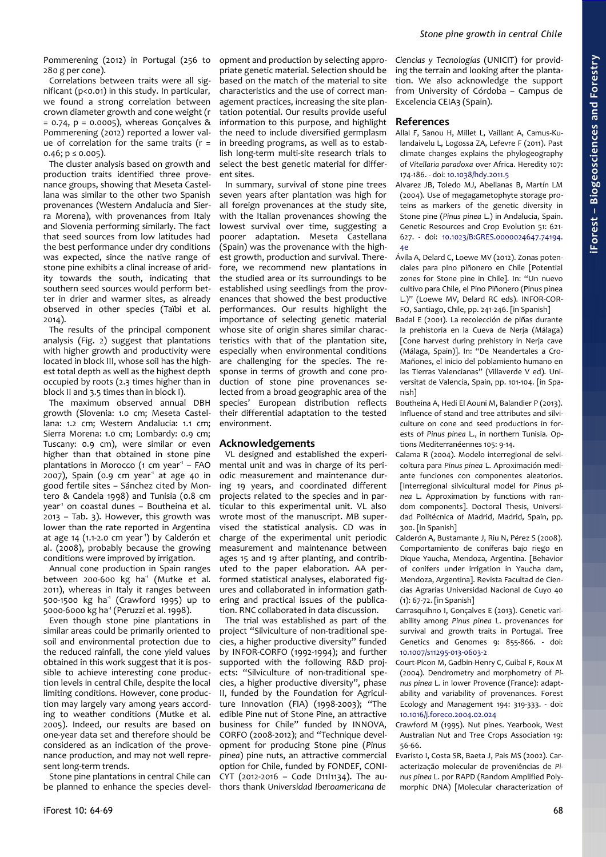Pommerening (2012) in Portugal (256 to 280 g per cone).

Correlations between traits were all significant (p<0.01) in this study. In particular, we found a strong correlation between crown diameter growth and cone weight (r  $= 0.74$ ,  $p = 0.0005$ ), whereas Gonçalves & Pommerening (2012) reported a lower value of correlation for the same traits  $(r =$  $0.46$ ;  $p \le 0.005$ ).

The cluster analysis based on growth and production traits identified three provenance groups, showing that Meseta Castellana was similar to the other two Spanish provenances (Western Andalucía and Sierra Morena), with provenances from Italy and Slovenia performing similarly. The fact that seed sources from low latitudes had the best performance under dry conditions was expected, since the native range of stone pine exhibits a clinal increase of aridity towards the south, indicating that southern seed sources would perform better in drier and warmer sites, as already observed in other species (Taïbi et al. 2014).

The results of the principal component analysis [\(Fig. 2\)](#page-3-0) suggest that plantations with higher growth and productivity were located in block III, whose soil has the highest total depth as well as the highest depth occupied by roots (2.3 times higher than in block II and 3.5 times than in block I).

The maximum observed annual DBH growth (Slovenia: 1.0 cm; Meseta Castellana: 1.2 cm; Western Andalucia: 1.1 cm; Sierra Morena: 1.0 cm; Lombardy: 0.9 cm; Tuscany: 0.9 cm), were similar or even higher than that obtained in stone pine plantations in Morocco (1 cm year<sup>1</sup> - FAO  $2007$ ), Spain (0.9 cm year<sup>1</sup> at age 40 in good fertile sites – Sánchez cited by Montero & Candela 1998) and Tunisia (0.8 cm year<sup>1</sup> on coastal dunes - Boutheina et al. 2013 – [Tab. 3\)](#page-2-0). However, this growth was lower than the rate reported in Argentina at age 14 (1.1-2.0 cm year<sup>1</sup>) by Calderón et al. (2008), probably because the growing conditions were improved by irrigation.

Annual cone production in Spain ranges between 200-600 kg ha<sup>1</sup> (Mutke et al. 2011), whereas in Italy it ranges between 500-1500 kg ha<sup>1</sup> (Crawford 1995) up to 5000-6000 kg ha<sup>1</sup> (Peruzzi et al. 1998).

Even though stone pine plantations in similar areas could be primarily oriented to soil and environmental protection due to the reduced rainfall, the cone yield values obtained in this work suggest that it is possible to achieve interesting cone production levels in central Chile, despite the local limiting conditions. However, cone production may largely vary among years according to weather conditions (Mutke et al. 2005). Indeed, our results are based on one-year data set and therefore should be considered as an indication of the provenance production, and may not well represent long-term trends.

Stone pine plantations in central Chile can be planned to enhance the species development and production by selecting appropriate genetic material. Selection should be based on the match of the material to site characteristics and the use of correct management practices, increasing the site plantation potential. Our results provide useful information to this purpose, and highlight the need to include diversified germplasm in breeding programs, as well as to establish long-term multi-site research trials to select the best genetic material for different sites.

In summary, survival of stone pine trees seven years after plantation was high for all foreign provenances at the study site, with the Italian provenances showing the lowest survival over time, suggesting a poorer adaptation. Meseta Castellana (Spain) was the provenance with the highest growth, production and survival. Therefore, we recommend new plantations in the studied area or its surroundings to be established using seedlings from the provenances that showed the best productive performances. Our results highlight the importance of selecting genetic material whose site of origin shares similar characteristics with that of the plantation site, especially when environmental conditions are challenging for the species. The response in terms of growth and cone production of stone pine provenances selected from a broad geographic area of the species' European distribution reflects their differential adaptation to the tested environment.

# **Acknowledgements**

VL designed and established the experimental unit and was in charge of its periodic measurement and maintenance during 19 years, and coordinated different projects related to the species and in particular to this experimental unit. VL also wrote most of the manuscript. MB supervised the statistical analysis. CD was in charge of the experimental unit periodic measurement and maintenance between ages 15 and 19 after planting, and contributed to the paper elaboration. AA performed statistical analyses, elaborated figures and collaborated in information gathering and practical issues of the publication. RNC collaborated in data discussion.

The trial was established as part of the project "Silviculture of non-traditional species, a higher productive diversity" funded by INFOR-CORFO (1992-1994); and further supported with the following R&D projects: "Silviculture of non-traditional species, a higher productive diversity", phase II, funded by the Foundation for Agriculture Innovation (FIA) (1998-2003); "The edible Pine nut of Stone Pine, an attractive business for Chile" funded by INNOVA, CORFO (2008-2012); and "Technique development for producing Stone pine (*Pinus pinea*) pine nuts, an attractive commercial option for Chile, funded by FONDEF, CONI-CYT (2012-2016 – Code D11I1134). The authors thank *Universidad Iberoamericana de*

*Ciencias y Tecnologías* (UNICIT) for providing the terrain and looking after the plantation. We also acknowledge the support from University of Córdoba – Campus de Excelencia CEIA3 (Spain).

## **References**

- Allal F, Sanou H, Millet L, Vaillant A, Camus-Kulandaivelu L, Logossa ZA, Lefevre F (2011). Past climate changes explains the phylogeography of *Vitellaria paradoxa* over Africa. Heredity 107: 174-186. - doi: [10.1038/hdy.2011.5](http://dx.doi.org/10.1038/hdy.2011.5)
- Alvarez JB, Toledo MJ, Abellanas B, Martín LM (2004). Use of megagametophyte storage proteins as markers of the genetic diversity in Stone pine (*Pinus pinea* L.) in Andalucia, Spain. Genetic Resources and Crop Evolution 51: 621- 627. - doi: [10.1023/B:GRES.0000024647.74194.](http://dx.doi.org/10.1023/B:GRES.0000024647.74194.4e) [4e](http://dx.doi.org/10.1023/B:GRES.0000024647.74194.4e)
- Ávila A, Delard C, Loewe MV (2012). Zonas potenciales para pino piñonero en Chile [Potential zones for Stone pine in Chile]. In: "Un nuevo cultivo para Chile, el Pino Piñonero (Pinus pinea L.)" (Loewe MV, Delard RC eds). INFOR-COR-FO, Santiago, Chile, pp. 241-246. [in Spanish]
- Badal E (2001). La recolección de piñas durante la prehistoria en la Cueva de Neria (Málaga) [Cone harvest during prehistory in Nerja cave (Málaga, Spain)]. In: "De Neandertales a Cro-Mañones, el inicio del poblamiento humano en las Tierras Valencianas" (Villaverde V ed). Universitat de Valencia, Spain, pp. 101-104. [in Spanish]
- Boutheina A, Hedi El Aouni M, Balandier P (2013). Influence of stand and tree attributes and silviculture on cone and seed productions in forests of *Pinus pinea* L., in northern Tunisia. Options Mediterranéennes 105: 9-14.
- Calama R (2004). Modelo interregional de selvicoltura para *Pinus pinea* L. Aproximación mediante funciones con componentes aleatorios. [Interregional silvicultural model for *Pinus pinea* L. Approximation by functions with random components]. Doctoral Thesis, Universidad Politécnica of Madrid, Madrid, Spain, pp. 300. [in Spanish]
- Calderón A, Bustamante J, Riu N, Pérez S (2008). Comportamiento de coníferas bajo riego en Dique Yaucha, Mendoza, Argentina. [Behavior of conifers under irrigation in Yaucha dam, Mendoza, Argentina]. Revista Facultad de Ciencias Agrarias Universidad Nacional de Cuyo 40 (1): 67-72. [in Spanish]
- Carrasquihno I, Gonçalves E (2013). Genetic variability among *Pinus pinea* L. provenances for survival and growth traits in Portugal. Tree Genetics and Genomes 9: 855-866. - doi: [10.1007/s11295-013-0603-2](http://dx.doi.org/10.1007/s11295-013-0603-2)
- Court-Picon M, Gadbin-Henry C, Guibal F, Roux M (2004). Dendrometry and morphometry of *Pinus pinea* L. in lower Provence (France): adaptability and variability of provenances. Forest Ecology and Management 194: 319-333. - doi: [10.1016/j.foreco.2004.02.024](http://dx.doi.org/10.1016/j.foreco.2004.02.024)
- Crawford M (1995). Nut pines. Yearbook, West Australian Nut and Tree Crops Association 19: 56-66.
- Evaristo I, Costa SR, Baeta J, Pais MS (2002). Caracterização molecular de proveniências de *Pinus pinea* L. por RAPD (Random Amplified Polymorphic DNA) [Molecular characterization of